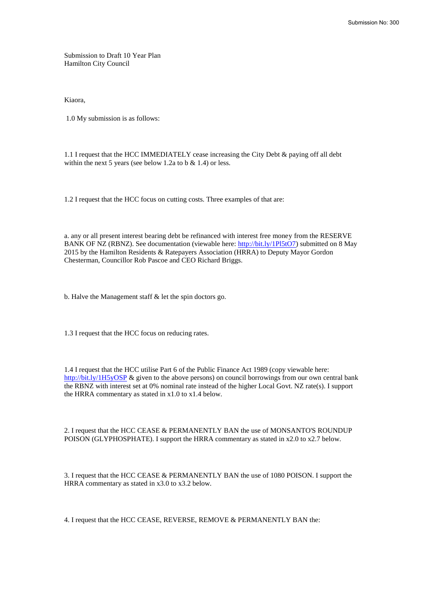Submission to Draft 10 Year Plan Hamilton City Council

Kiaora,

1.0 My submission is as follows:

1.1 I request that the HCC IMMEDIATELY cease increasing the City Debt & paying off all debt within the next 5 years (see below 1.2a to b & 1.4) or less.

1.2 I request that the HCC focus on cutting costs. Three examples of that are:

a. any or all present interest bearing debt be refinanced with interest free money from the RESERVE BANK OF NZ (RBNZ). See documentation (viewable here: [http://bit.ly/1Pl5tO7\)](http://bit.ly/1Pl5tO7) submitted on 8 May 2015 by the Hamilton Residents & Ratepayers Association (HRRA) to Deputy Mayor Gordon Chesterman, Councillor Rob Pascoe and CEO Richard Briggs.

b. Halve the Management staff & let the spin doctors go.

1.3 I request that the HCC focus on reducing rates.

1.4 I request that the HCC utilise Part 6 of the Public Finance Act 1989 (copy viewable here: <http://bit.ly/1H5yOSP>& given to the above persons) on council borrowings from our own central bank the RBNZ with interest set at 0% nominal rate instead of the higher Local Govt. NZ rate(s). I support the HRRA commentary as stated in x1.0 to x1.4 below.

2. I request that the HCC CEASE & PERMANENTLY BAN the use of MONSANTO'S ROUNDUP POISON (GLYPHOSPHATE). I support the HRRA commentary as stated in x2.0 to x2.7 below.

3. I request that the HCC CEASE & PERMANENTLY BAN the use of 1080 POISON. I support the HRRA commentary as stated in x3.0 to x3.2 below.

4. I request that the HCC CEASE, REVERSE, REMOVE & PERMANENTLY BAN the: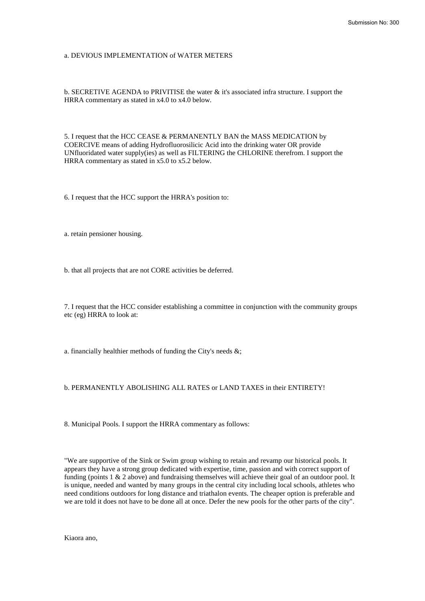### a. DEVIOUS IMPLEMENTATION of WATER METERS

b. SECRETIVE AGENDA to PRIVITISE the water & it's associated infra structure. I support the HRRA commentary as stated in x4.0 to x4.0 below.

5. I request that the HCC CEASE & PERMANENTLY BAN the MASS MEDICATION by COERCIVE means of adding Hydrofluorosilicic Acid into the drinking water OR provide UNfluoridated water supply(ies) as well as FILTERING the CHLORINE therefrom. I support the HRRA commentary as stated in x5.0 to x5.2 below.

6. I request that the HCC support the HRRA's position to:

a. retain pensioner housing.

b. that all projects that are not CORE activities be deferred.

7. I request that the HCC consider establishing a committee in conjunction with the community groups etc (eg) HRRA to look at:

a. financially healthier methods of funding the City's needs  $\&$ ;

# b. PERMANENTLY ABOLISHING ALL RATES or LAND TAXES in their ENTIRETY!

8. Municipal Pools. I support the HRRA commentary as follows:

"We are supportive of the Sink or Swim group wishing to retain and revamp our historical pools. It appears they have a strong group dedicated with expertise, time, passion and with correct support of funding (points 1 & 2 above) and fundraising themselves will achieve their goal of an outdoor pool. It is unique, needed and wanted by many groups in the central city including local schools, athletes who need conditions outdoors for long distance and triathalon events. The cheaper option is preferable and we are told it does not have to be done all at once. Defer the new pools for the other parts of the city".

Kiaora ano,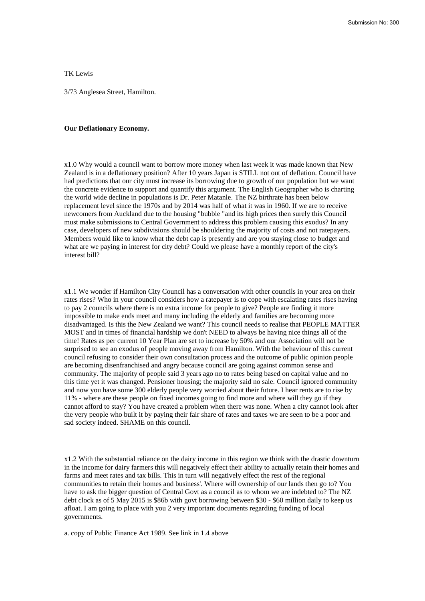TK Lewis

3/73 Anglesea Street, Hamilton.

# **Our Deflationary Economy.**

x1.0 Why would a council want to borrow more money when last week it was made known that New Zealand is in a deflationary position? After 10 years Japan is STILL not out of deflation. Council have had predictions that our city must increase its borrowing due to growth of our population but we want the concrete evidence to support and quantify this argument. The English Geographer who is charting the world wide decline in populations is Dr. Peter Matanle. The NZ birthrate has been below replacement level since the 1970s and by 2014 was half of what it was in 1960. If we are to receive newcomers from Auckland due to the housing "bubble "and its high prices then surely this Council must make submissions to Central Government to address this problem causing this exodus? In any case, developers of new subdivisions should be shouldering the majority of costs and not ratepayers. Members would like to know what the debt cap is presently and are you staying close to budget and what are we paying in interest for city debt? Could we please have a monthly report of the city's interest bill?

x1.1 We wonder if Hamilton City Council has a conversation with other councils in your area on their rates rises? Who in your council considers how a ratepayer is to cope with escalating rates rises having to pay 2 councils where there is no extra income for people to give? People are finding it more impossible to make ends meet and many including the elderly and families are becoming more disadvantaged. Is this the New Zealand we want? This council needs to realise that PEOPLE MATTER MOST and in times of financial hardship we don't NEED to always be having nice things all of the time! Rates as per current 10 Year Plan are set to increase by 50% and our Association will not be surprised to see an exodus of people moving away from Hamilton. With the behaviour of this current council refusing to consider their own consultation process and the outcome of public opinion people are becoming disenfranchised and angry because council are going against common sense and community. The majority of people said 3 years ago no to rates being based on capital value and no this time yet it was changed. Pensioner housing; the majority said no sale. Council ignored community and now you have some 300 elderly people very worried about their future. I hear rents are to rise by 11% - where are these people on fixed incomes going to find more and where will they go if they cannot afford to stay? You have created a problem when there was none. When a city cannot look after the very people who built it by paying their fair share of rates and taxes we are seen to be a poor and sad society indeed. SHAME on this council.

x1.2 With the substantial reliance on the dairy income in this region we think with the drastic downturn in the income for dairy farmers this will negatively effect their ability to actually retain their homes and farms and meet rates and tax bills. This in turn will negatively effect the rest of the regional communities to retain their homes and business'. Where will ownership of our lands then go to? You have to ask the bigger question of Central Govt as a council as to whom we are indebted to? The NZ debt clock as of 5 May 2015 is \$86b with govt borrowing between \$30 - \$60 million daily to keep us afloat. I am going to place with you 2 very important documents regarding funding of local governments.

a. copy of Public Finance Act 1989. See link in 1.4 above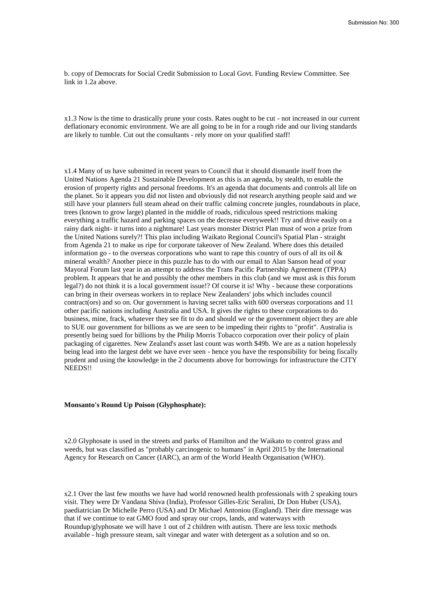b. copy of Democrats for Social Credit Submission to Local Govt. Funding Review Committee. See link in 1.2a above.

x1.3 Now is the time to drastically prune your costs. Rates ought to be cut - not increased in our current deflationary economic environment. We are all going to be in for a rough ride and our living standards are likely to tumble. Cut out the consultants - rely more on your qualified staff!

x1.4 Many of us have submitted in recent years to Council that it should dismantle itself from the United Nations Agenda 21 Sustainable Development as this is an agenda, by stealth, to enable the erosion of property rights and personal freedoms. It's an agenda that documents and controls all life on the planet. So it appears you did not listen and obviously did not research anything people said and we still have your planners full steam ahead on their traffic calming concrete jungles, roundabouts in place, trees (known to grow large) planted in the middle of roads, ridiculous speed restrictions making everything a traffic hazard and parking spaces on the decrease everyweek!! Try and drive easily on a rainy dark night- it turns into a nightmare! Last years monster District Plan must of won a prize from the United Nations surely?! This plan including Waikato Regional Council's Spatial Plan - straight from Agenda 21 to make us ripe for corporate takeover of New Zealand. Where does this detailed information go - to the overseas corporations who want to rape this country of ours of all its oil & mineral wealth? Another piece in this puzzle has to do with our email to Alan Sanson head of your Mayoral Forum last year in an attempt to address the Trans Pacific Partnership Agreement (TPPA) problem. It appears that he and possibly the other members in this club (and we must ask is this forum legal?) do not think it is a local government issue!? Of course it is! Why - because these corporations can bring in their overseas workers in to replace New Zealanders' jobs which includes council contract(ors) and so on. Our government is having secret talks with 600 overseas corporations and 11 other pacific nations including Australia and USA. It gives the rights to these corporations to do business, mine, frack, whatever they see fit to do and should we or the government object they are able to SUE our government for billions as we are seen to be impeding their rights to "profit". Australia is presently being sued for billions by the Philip Morris Tobacco corporation over their policy of plain packaging of cigarettes. New Zealand's asset last count was worth \$49b. We are as a nation hopelessly being lead into the largest debt we have ever seen - hence you have the responsibility for being fiscally prudent and using the knowledge in the 2 documents above for borrowings for infrastructure the CITY NEEDS!!

## **Monsanto's Round Up Poison (Glyphosphate):**

x2.0 Glyphosate is used in the streets and parks of Hamilton and the Waikato to control grass and weeds, but was classified as "probably carcinogenic to humans" in April 2015 by the International Agency for Research on Cancer (IARC), an arm of the World Health Organisation (WHO).

x2.1 Over the last few months we have had world renowned health professionals with 2 speaking tours visit. They were Dr Vandana Shiva (India), Professor Gilles-Eric Seralini, Dr Don Huber (USA), paediatrician Dr Michelle Perro (USA) and Dr Michael Antoniou (England). Their dire message was that if we continue to eat GMO food and spray our crops, lands, and waterways with Roundup/glyphosate we will have 1 out of 2 children with autism. There are less toxic methods available - high pressure steam, salt vinegar and water with detergent as a solution and so on.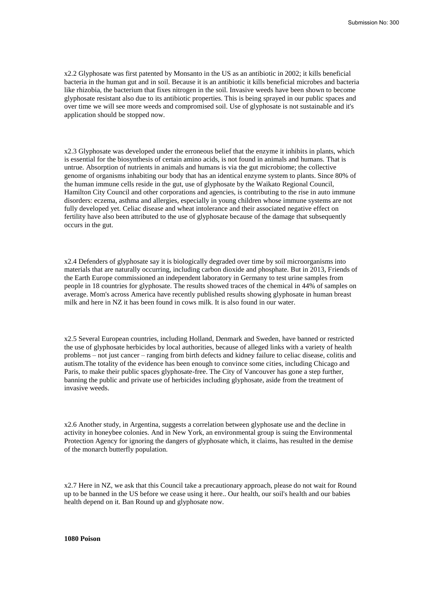x2.2 Glyphosate was first patented by Monsanto in the US as an antibiotic in 2002; it kills beneficial bacteria in the human gut and in soil. Because it is an antibiotic it kills beneficial microbes and bacteria like rhizobia, the bacterium that fixes nitrogen in the soil. Invasive weeds have been shown to become glyphosate resistant also due to its antibiotic properties. This is being sprayed in our public spaces and over time we will see more weeds and compromised soil. Use of glyphosate is not sustainable and it's application should be stopped now.

x2.3 Glyphosate was developed under the erroneous belief that the enzyme it inhibits in plants, which is essential for the biosynthesis of certain amino acids, is not found in animals and humans. That is untrue. Absorption of nutrients in animals and humans is via the gut microbiome; the collective genome of organisms inhabiting our body that has an identical enzyme system to plants. Since 80% of the human immune cells reside in the gut, use of glyphosate by the Waikato Regional Council, Hamilton City Council and other corporations and agencies, is contributing to the rise in auto immune disorders: eczema, asthma and allergies, especially in young children whose immune systems are not fully developed yet. Celiac disease and wheat intolerance and their associated negative effect on fertility have also been attributed to the use of glyphosate because of the damage that subsequently occurs in the gut.

x2.4 Defenders of glyphosate say it is biologically degraded over time by soil microorganisms into materials that are naturally occurring, including carbon dioxide and phosphate. But in 2013, Friends of the Earth Europe commissioned an independent laboratory in Germany to test urine samples from people in 18 countries for glyphosate. The results showed traces of the chemical in 44% of samples on average. Mom's across America have recently published results showing glyphosate in human breast milk and here in NZ it has been found in cows milk. It is also found in our water.

x2.5 Several European countries, including Holland, Denmark and Sweden, have banned or restricted the use of glyphosate herbicides by local authorities, because of alleged links with a variety of health problems – not just cancer – ranging from birth defects and kidney failure to celiac disease, colitis and autism.The totality of the evidence has been enough to convince some cities, including Chicago and Paris, to make their public spaces glyphosate-free. The City of Vancouver has gone a step further, banning the public and private use of herbicides including glyphosate, aside from the treatment of invasive weeds.

x2.6 Another study, in Argentina, suggests a correlation between glyphosate use and the decline in activity in honeybee colonies. And in New York, an environmental group is suing the Environmental Protection Agency for ignoring the dangers of glyphosate which, it claims, has resulted in the demise of the monarch butterfly population.

x2.7 Here in NZ, we ask that this Council take a precautionary approach, please do not wait for Round up to be banned in the US before we cease using it here.. Our health, our soil's health and our babies health depend on it. Ban Round up and glyphosate now.

**1080 Poison**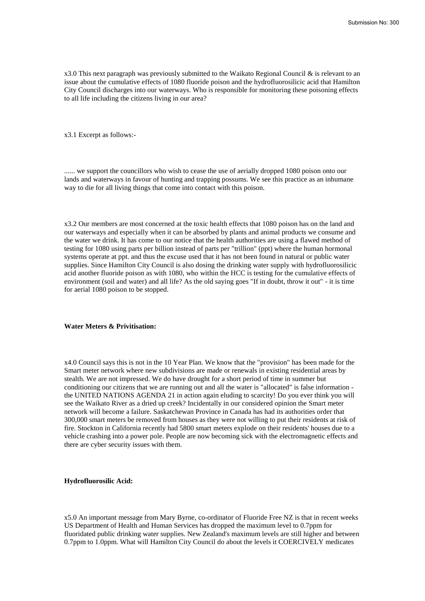x3.0 This next paragraph was previously submitted to the Waikato Regional Council  $\&$  is relevant to an issue about the cumulative effects of 1080 fluoride poison and the hydrofluorosilicic acid that Hamilton City Council discharges into our waterways. Who is responsible for monitoring these poisoning effects to all life including the citizens living in our area?

x3.1 Excerpt as follows:-

...... we support the councillors who wish to cease the use of aerially dropped 1080 poison onto our lands and waterways in favour of hunting and trapping possums. We see this practice as an inhumane way to die for all living things that come into contact with this poison.

x3.2 Our members are most concerned at the toxic health effects that 1080 poison has on the land and our waterways and especially when it can be absorbed by plants and animal products we consume and the water we drink. It has come to our notice that the health authorities are using a flawed method of testing for 1080 using parts per billion instead of parts per "trillion" (ppt) where the human hormonal systems operate at ppt. and thus the excuse used that it has not been found in natural or public water supplies. Since Hamilton City Council is also dosing the drinking water supply with hydrofluorosilicic acid another fluoride poison as with 1080, who within the HCC is testing for the cumulative effects of environment (soil and water) and all life? As the old saying goes "If in doubt, throw it out" - it is time for aerial 1080 poison to be stopped.

### **Water Meters & Privitisation:**

x4.0 Council says this is not in the 10 Year Plan. We know that the "provision" has been made for the Smart meter network where new subdivisions are made or renewals in existing residential areas by stealth. We are not impressed. We do have drought for a short period of time in summer but conditioning our citizens that we are running out and all the water is "allocated" is false information the UNITED NATIONS AGENDA 21 in action again eluding to scarcity! Do you ever think you will see the Waikato River as a dried up creek? Incidentally in our considered opinion the Smart meter network will become a failure. Saskatchewan Province in Canada has had its authorities order that 300,000 smart meters be removed from houses as they were not willing to put their residents at risk of fire. Stockton in California recently had 5800 smart meters explode on their residents' houses due to a vehicle crashing into a power pole. People are now becoming sick with the electromagnetic effects and there are cyber security issues with them.

# **Hydrofluorosilic Acid:**

x5.0 An important message from Mary Byrne, co-ordinator of Fluoride Free NZ is that in recent weeks US Department of Health and Human Services has dropped the maximum level to 0.7ppm for fluoridated public drinking water supplies. New Zealand's maximum levels are still higher and between 0.7ppm to 1.0ppm. What will Hamilton City Council do about the levels it COERCIVELY medicates